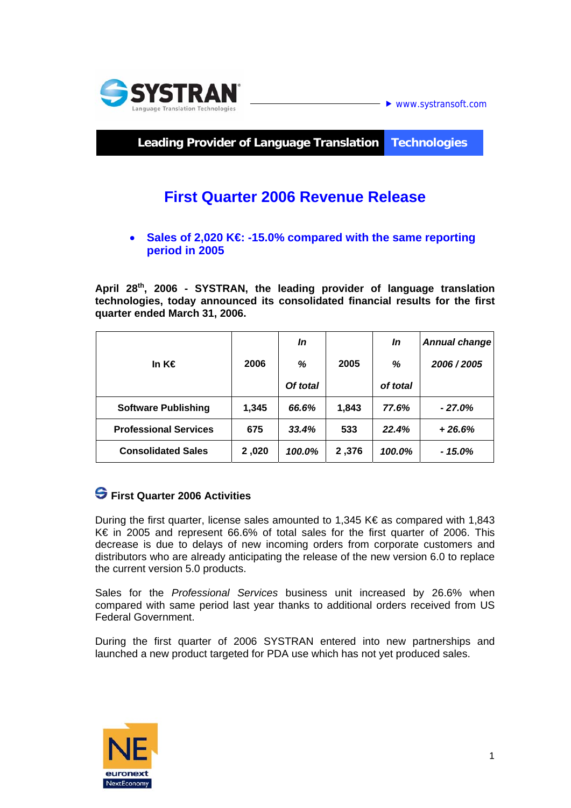

 $\blacktriangleright$  www.systransoft.com

**Leading Provider of Language Translation Technologies** 

# **First Quarter 2006 Revenue Release**

#### • **Sales of 2,020 K€: -15.0% compared with the same reporting period in 2005**

**April 28th, 2006 - SYSTRAN, the leading provider of language translation technologies, today announced its consolidated financial results for the first quarter ended March 31, 2006.** 

|                              |       | In       |       | In       | <b>Annual change</b> |
|------------------------------|-------|----------|-------|----------|----------------------|
| In K€                        | 2006  | %        | 2005  | %        | 2006 / 2005          |
|                              |       | Of total |       | of total |                      |
| <b>Software Publishing</b>   | 1,345 | 66.6%    | 1,843 | 77.6%    | $-27.0\%$            |
| <b>Professional Services</b> | 675   | 33.4%    | 533   | 22.4%    | $+26.6%$             |
| <b>Consolidated Sales</b>    | 2,020 | 100.0%   | 2,376 | 100.0%   | - 15.0%              |

### **First Quarter 2006 Activities**

During the first quarter, license sales amounted to 1,345 K $\epsilon$  as compared with 1,843 K€ in 2005 and represent 66.6% of total sales for the first quarter of 2006. This decrease is due to delays of new incoming orders from corporate customers and distributors who are already anticipating the release of the new version 6.0 to replace the current version 5.0 products.

Sales for the *Professional Services* business unit increased by 26.6% when compared with same period last year thanks to additional orders received from US Federal Government.

During the first quarter of 2006 SYSTRAN entered into new partnerships and launched a new product targeted for PDA use which has not yet produced sales.